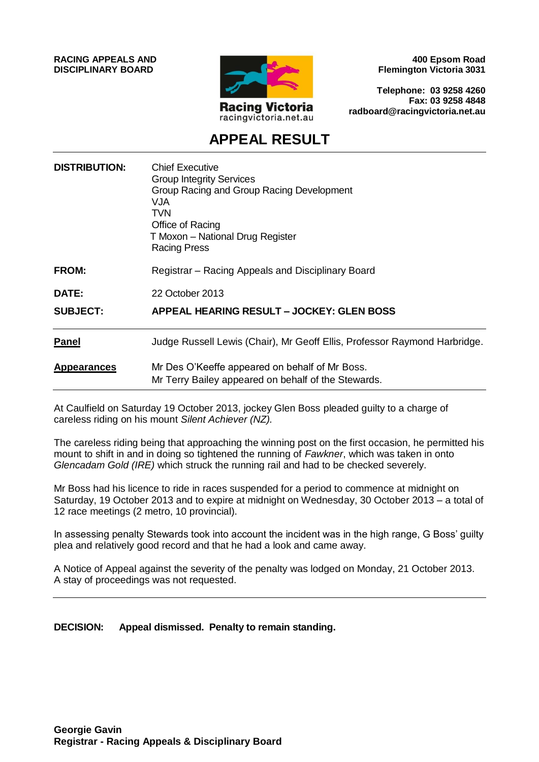**RACING APPEALS AND DISCIPLINARY BOARD**



**400 Epsom Road Flemington Victoria 3031**

**Telephone: 03 9258 4260 Fax: 03 9258 4848 radboard@racingvictoria.net.au**

## **APPEAL RESULT**

| <b>DISTRIBUTION:</b> | <b>Chief Executive</b><br><b>Group Integrity Services</b><br>Group Racing and Group Racing Development<br>VJA<br>TVN<br>Office of Racing<br>T Moxon – National Drug Register<br><b>Racing Press</b> |
|----------------------|-----------------------------------------------------------------------------------------------------------------------------------------------------------------------------------------------------|
| FROM:                | Registrar – Racing Appeals and Disciplinary Board                                                                                                                                                   |
| <b>DATE:</b>         | 22 October 2013                                                                                                                                                                                     |
| <b>SUBJECT:</b>      | <b>APPEAL HEARING RESULT - JOCKEY: GLEN BOSS</b>                                                                                                                                                    |
| <b>Panel</b>         | Judge Russell Lewis (Chair), Mr Geoff Ellis, Professor Raymond Harbridge.                                                                                                                           |
| <b>Appearances</b>   | Mr Des O'Keeffe appeared on behalf of Mr Boss.<br>Mr Terry Bailey appeared on behalf of the Stewards.                                                                                               |

At Caulfield on Saturday 19 October 2013, jockey Glen Boss pleaded guilty to a charge of careless riding on his mount *Silent Achiever (NZ).*

The careless riding being that approaching the winning post on the first occasion, he permitted his mount to shift in and in doing so tightened the running of *Fawkner*, which was taken in onto *Glencadam Gold (IRE)* which struck the running rail and had to be checked severely.

Mr Boss had his licence to ride in races suspended for a period to commence at midnight on Saturday, 19 October 2013 and to expire at midnight on Wednesday, 30 October 2013 – a total of 12 race meetings (2 metro, 10 provincial).

In assessing penalty Stewards took into account the incident was in the high range, G Boss' guilty plea and relatively good record and that he had a look and came away.

A Notice of Appeal against the severity of the penalty was lodged on Monday, 21 October 2013. A stay of proceedings was not requested.

**DECISION: Appeal dismissed. Penalty to remain standing.**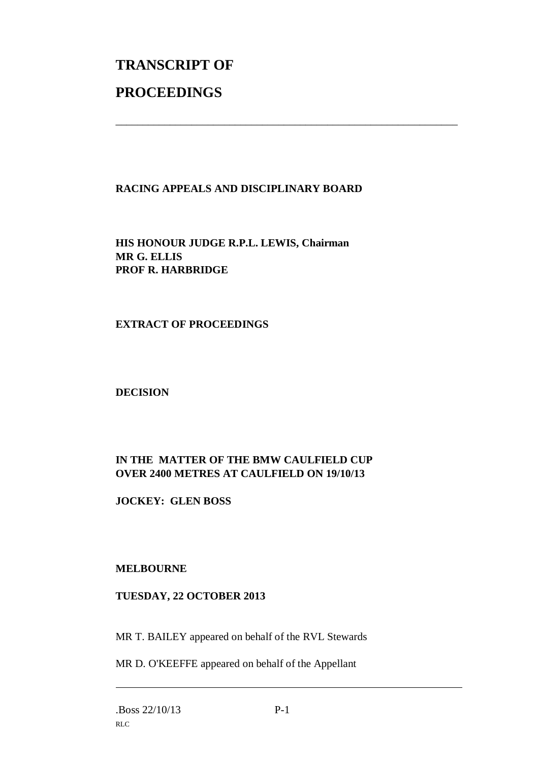# **TRANSCRIPT OF PROCEEDINGS**

#### **RACING APPEALS AND DISCIPLINARY BOARD**

\_\_\_\_\_\_\_\_\_\_\_\_\_\_\_\_\_\_\_\_\_\_\_\_\_\_\_\_\_\_\_\_\_\_\_\_\_\_\_\_\_\_\_\_\_\_\_\_\_\_\_\_\_\_\_\_\_\_\_\_\_\_\_

**HIS HONOUR JUDGE R.P.L. LEWIS, Chairman MR G. ELLIS PROF R. HARBRIDGE**

#### **EXTRACT OF PROCEEDINGS**

#### **DECISION**

### **IN THE MATTER OF THE BMW CAULFIELD CUP OVER 2400 METRES AT CAULFIELD ON 19/10/13**

**JOCKEY: GLEN BOSS**

#### **MELBOURNE**

#### **TUESDAY, 22 OCTOBER 2013**

MR T. BAILEY appeared on behalf of the RVL Stewards

MR D. O'KEEFFE appeared on behalf of the Appellant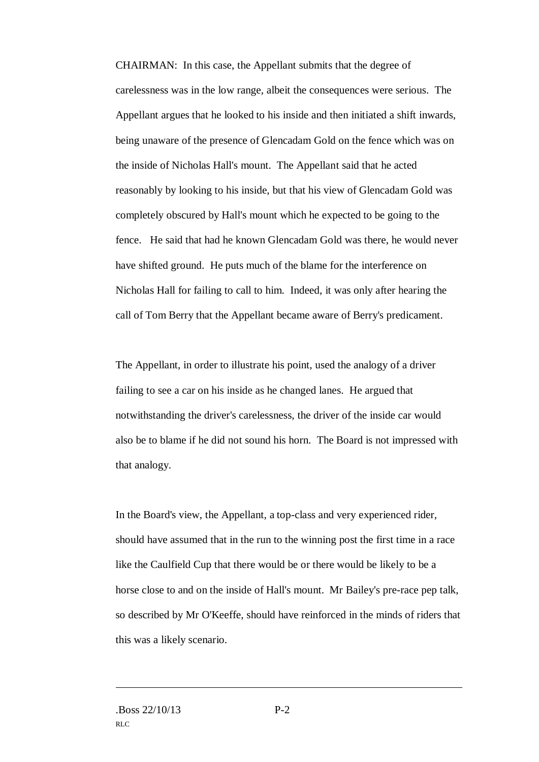CHAIRMAN: In this case, the Appellant submits that the degree of carelessness was in the low range, albeit the consequences were serious. The Appellant argues that he looked to his inside and then initiated a shift inwards, being unaware of the presence of Glencadam Gold on the fence which was on the inside of Nicholas Hall's mount. The Appellant said that he acted reasonably by looking to his inside, but that his view of Glencadam Gold was completely obscured by Hall's mount which he expected to be going to the fence. He said that had he known Glencadam Gold was there, he would never have shifted ground. He puts much of the blame for the interference on Nicholas Hall for failing to call to him. Indeed, it was only after hearing the call of Tom Berry that the Appellant became aware of Berry's predicament.

The Appellant, in order to illustrate his point, used the analogy of a driver failing to see a car on his inside as he changed lanes. He argued that notwithstanding the driver's carelessness, the driver of the inside car would also be to blame if he did not sound his horn. The Board is not impressed with that analogy.

In the Board's view, the Appellant, a top-class and very experienced rider, should have assumed that in the run to the winning post the first time in a race like the Caulfield Cup that there would be or there would be likely to be a horse close to and on the inside of Hall's mount. Mr Bailey's pre-race pep talk, so described by Mr O'Keeffe, should have reinforced in the minds of riders that this was a likely scenario.